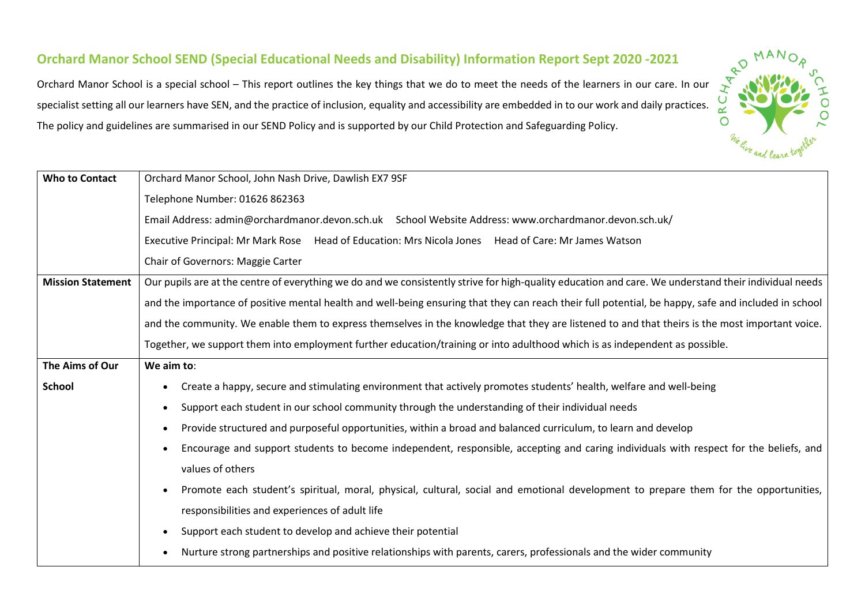## **Orchard Manor School SEND (Special Educational Needs and Disability) Information Report Sept 2020 -2021**

Orchard Manor School is a special school – This report outlines the key things that we do to meet the needs of the learners in our care. In our specialist setting all our learners have SEN, and the practice of inclusion, equality and accessibility are embedded in to our work and daily practices. The policy and guidelines are summarised in our SEND Policy and is supported by our Child Protection and Safeguarding Policy.

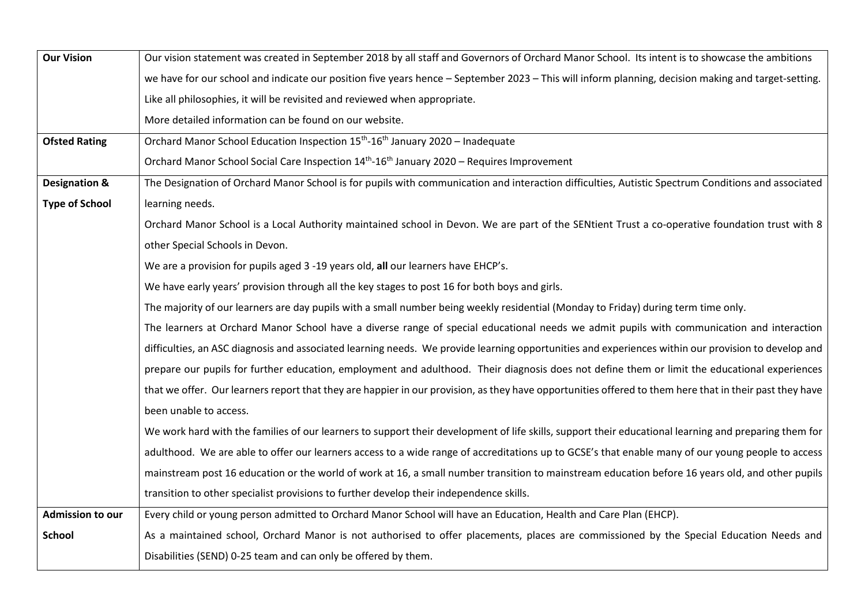| <b>Our Vision</b>        | Our vision statement was created in September 2018 by all staff and Governors of Orchard Manor School. Its intent is to showcase the ambitions          |
|--------------------------|---------------------------------------------------------------------------------------------------------------------------------------------------------|
|                          | we have for our school and indicate our position five years hence - September 2023 - This will inform planning, decision making and target-setting.     |
|                          | Like all philosophies, it will be revisited and reviewed when appropriate.                                                                              |
|                          | More detailed information can be found on our website.                                                                                                  |
| <b>Ofsted Rating</b>     | Orchard Manor School Education Inspection 15 <sup>th</sup> -16 <sup>th</sup> January 2020 - Inadequate                                                  |
|                          | Orchard Manor School Social Care Inspection 14 <sup>th</sup> -16 <sup>th</sup> January 2020 - Requires Improvement                                      |
| <b>Designation &amp;</b> | The Designation of Orchard Manor School is for pupils with communication and interaction difficulties, Autistic Spectrum Conditions and associated      |
| <b>Type of School</b>    | learning needs.                                                                                                                                         |
|                          | Orchard Manor School is a Local Authority maintained school in Devon. We are part of the SENtient Trust a co-operative foundation trust with 8          |
|                          | other Special Schools in Devon.                                                                                                                         |
|                          | We are a provision for pupils aged 3 -19 years old, all our learners have EHCP's.                                                                       |
|                          | We have early years' provision through all the key stages to post 16 for both boys and girls.                                                           |
|                          | The majority of our learners are day pupils with a small number being weekly residential (Monday to Friday) during term time only.                      |
|                          | The learners at Orchard Manor School have a diverse range of special educational needs we admit pupils with communication and interaction               |
|                          | difficulties, an ASC diagnosis and associated learning needs. We provide learning opportunities and experiences within our provision to develop and     |
|                          | prepare our pupils for further education, employment and adulthood. Their diagnosis does not define them or limit the educational experiences           |
|                          | that we offer. Our learners report that they are happier in our provision, as they have opportunities offered to them here that in their past they have |
|                          | been unable to access.                                                                                                                                  |
|                          | We work hard with the families of our learners to support their development of life skills, support their educational learning and preparing them for   |
|                          | adulthood. We are able to offer our learners access to a wide range of accreditations up to GCSE's that enable many of our young people to access       |
|                          | mainstream post 16 education or the world of work at 16, a small number transition to mainstream education before 16 years old, and other pupils        |
|                          | transition to other specialist provisions to further develop their independence skills.                                                                 |
| <b>Admission to our</b>  | Every child or young person admitted to Orchard Manor School will have an Education, Health and Care Plan (EHCP).                                       |
| <b>School</b>            | As a maintained school, Orchard Manor is not authorised to offer placements, places are commissioned by the Special Education Needs and                 |
|                          | Disabilities (SEND) 0-25 team and can only be offered by them.                                                                                          |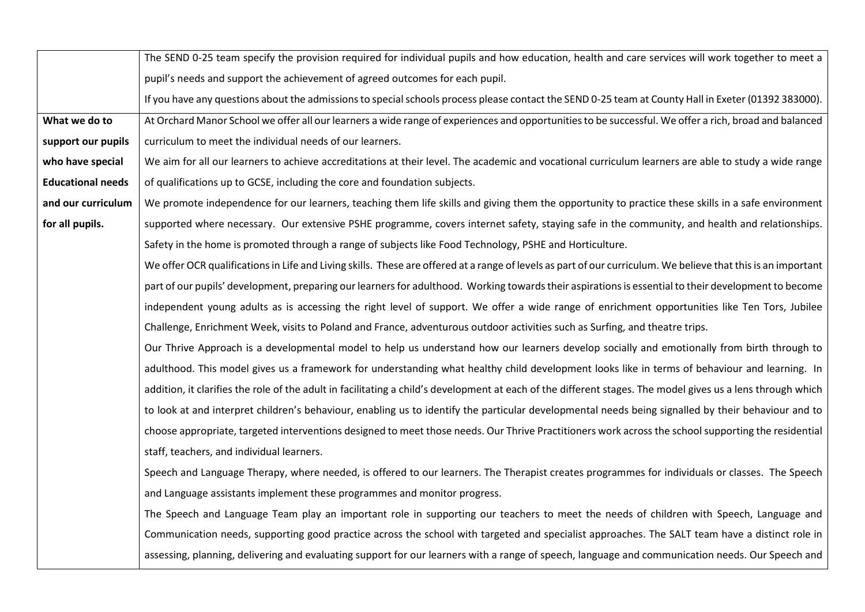|                          | The SEND 0-25 team specify the provision required for individual pupils and how education, health and care services will work together to meet a              |
|--------------------------|---------------------------------------------------------------------------------------------------------------------------------------------------------------|
|                          | pupil's needs and support the achievement of agreed outcomes for each pupil.                                                                                  |
|                          | If you have any questions about the admissions to special schools process please contact the SEND 0-25 team at County Hall in Exeter (01392 383000).          |
| What we do to            | At Orchard Manor School we offer all our learners a wide range of experiences and opportunities to be successful. We offer a rich, broad and balanced         |
| support our pupils       | curriculum to meet the individual needs of our learners.                                                                                                      |
| who have special         | We aim for all our learners to achieve accreditations at their level. The academic and vocational curriculum learners are able to study a wide range          |
| <b>Educational needs</b> | of qualifications up to GCSE, including the core and foundation subjects.                                                                                     |
| and our curriculum       | We promote independence for our learners, teaching them life skills and giving them the opportunity to practice these skills in a safe environment            |
| for all pupils.          | supported where necessary. Our extensive PSHE programme, covers internet safety, staying safe in the community, and health and relationships.                 |
|                          | Safety in the home is promoted through a range of subjects like Food Technology, PSHE and Horticulture.                                                       |
|                          | We offer OCR qualifications in Life and Living skills. These are offered at a range of levels as part of our curriculum. We believe that this is an important |
|                          | part of our pupils' development, preparing our learners for adulthood. Working towards their aspirations is essential to their development to become          |
|                          | independent young adults as is accessing the right level of support. We offer a wide range of enrichment opportunities like Ten Tors, Jubilee                 |
|                          | Challenge, Enrichment Week, visits to Poland and France, adventurous outdoor activities such as Surfing, and theatre trips.                                   |
|                          | Our Thrive Approach is a developmental model to help us understand how our learners develop socially and emotionally from birth through to                    |
|                          | adulthood. This model gives us a framework for understanding what healthy child development looks like in terms of behaviour and learning. In                 |
|                          | addition, it clarifies the role of the adult in facilitating a child's development at each of the different stages. The model gives us a lens through which   |
|                          | to look at and interpret children's behaviour, enabling us to identify the particular developmental needs being signalled by their behaviour and to           |
|                          | choose appropriate, targeted interventions designed to meet those needs. Our Thrive Practitioners work across the school supporting the residential           |
|                          | staff, teachers, and individual learners.                                                                                                                     |
|                          | Speech and Language Therapy, where needed, is offered to our learners. The Therapist creates programmes for individuals or classes. The Speech                |
|                          | and Language assistants implement these programmes and monitor progress.                                                                                      |
|                          | The Speech and Language Team play an important role in supporting our teachers to meet the needs of children with Speech, Language and                        |
|                          | Communication needs, supporting good practice across the school with targeted and specialist approaches. The SALT team have a distinct role in                |
|                          | assessing, planning, delivering and evaluating support for our learners with a range of speech, language and communication needs. Our Speech and              |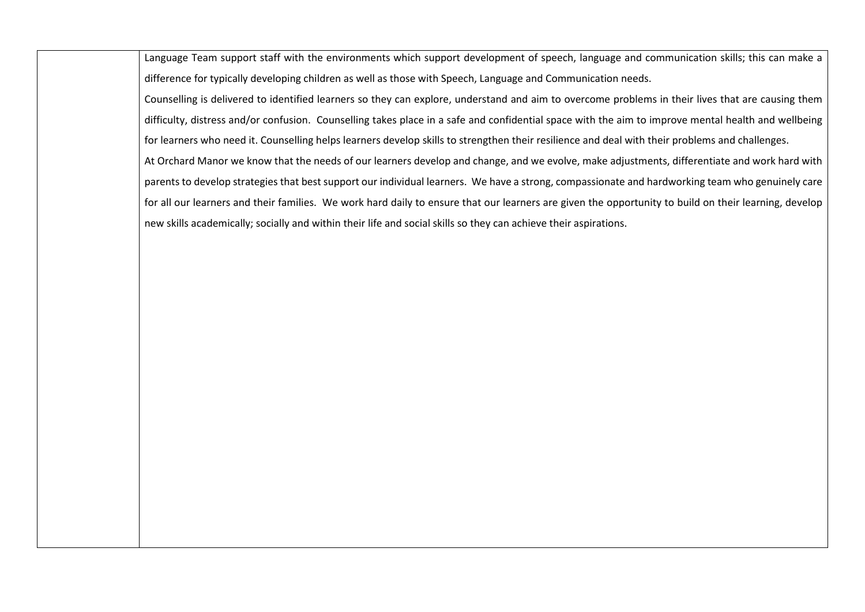Language Team support staff with the environments which support development of speech, language and communication skills; this can make a difference for typically developing children as well as those with Speech, Language and Communication needs.

Counselling is delivered to identified learners so they can explore, understand and aim to overcome problems in their lives that are causing them difficulty, distress and/or confusion. Counselling takes place in a safe and confidential space with the aim to improve mental health and wellbeing for learners who need it. Counselling helps learners develop skills to strengthen their resilience and deal with their problems and challenges. At Orchard Manor we know that the needs of our learners develop and change, and we evolve, make adjustments, differentiate and work hard with parents to develop strategies that best support our individual learners. We have a strong, compassionate and hardworking team who genuinely care for all our learners and their families. We work hard daily to ensure that our learners are given the opportunity to build on their learning, develop new skills academically; socially and within their life and social skills so they can achieve their aspirations.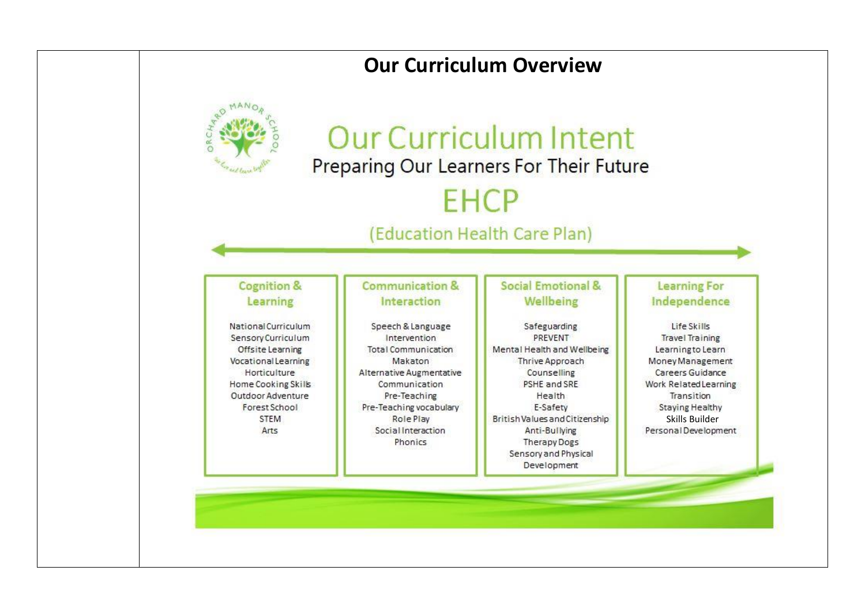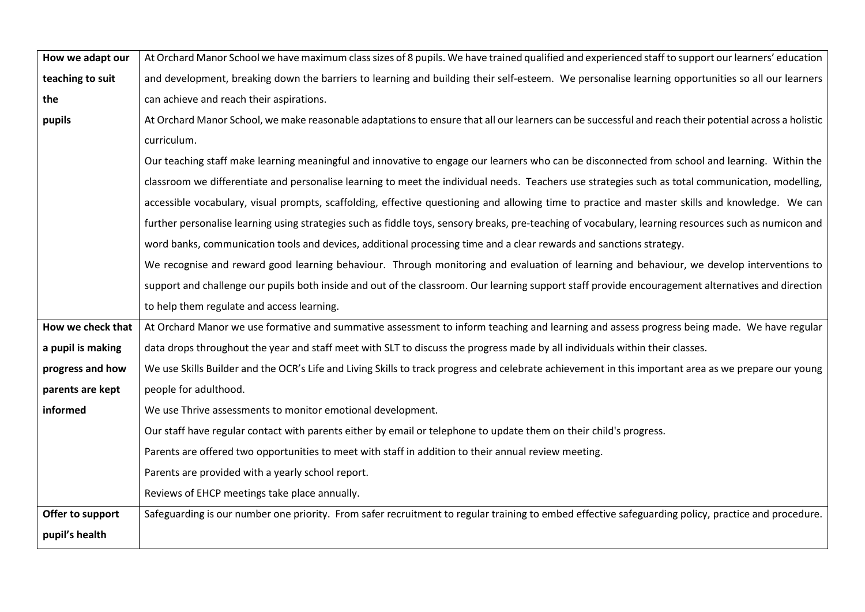| How we adapt our  | At Orchard Manor School we have maximum class sizes of 8 pupils. We have trained qualified and experienced staff to support our learners' education   |
|-------------------|-------------------------------------------------------------------------------------------------------------------------------------------------------|
| teaching to suit  | and development, breaking down the barriers to learning and building their self-esteem. We personalise learning opportunities so all our learners     |
| the               | can achieve and reach their aspirations.                                                                                                              |
| pupils            | At Orchard Manor School, we make reasonable adaptations to ensure that all our learners can be successful and reach their potential across a holistic |
|                   | curriculum.                                                                                                                                           |
|                   | Our teaching staff make learning meaningful and innovative to engage our learners who can be disconnected from school and learning. Within the        |
|                   | classroom we differentiate and personalise learning to meet the individual needs. Teachers use strategies such as total communication, modelling,     |
|                   | accessible vocabulary, visual prompts, scaffolding, effective questioning and allowing time to practice and master skills and knowledge. We can       |
|                   | further personalise learning using strategies such as fiddle toys, sensory breaks, pre-teaching of vocabulary, learning resources such as numicon and |
|                   | word banks, communication tools and devices, additional processing time and a clear rewards and sanctions strategy.                                   |
|                   | We recognise and reward good learning behaviour. Through monitoring and evaluation of learning and behaviour, we develop interventions to             |
|                   | support and challenge our pupils both inside and out of the classroom. Our learning support staff provide encouragement alternatives and direction    |
|                   | to help them regulate and access learning.                                                                                                            |
| How we check that | At Orchard Manor we use formative and summative assessment to inform teaching and learning and assess progress being made. We have regular            |
| a pupil is making | data drops throughout the year and staff meet with SLT to discuss the progress made by all individuals within their classes.                          |
| progress and how  | We use Skills Builder and the OCR's Life and Living Skills to track progress and celebrate achievement in this important area as we prepare our young |
| parents are kept  | people for adulthood.                                                                                                                                 |
| informed          | We use Thrive assessments to monitor emotional development.                                                                                           |
|                   | Our staff have regular contact with parents either by email or telephone to update them on their child's progress.                                    |
|                   | Parents are offered two opportunities to meet with staff in addition to their annual review meeting.                                                  |
|                   | Parents are provided with a yearly school report.                                                                                                     |
|                   | Reviews of EHCP meetings take place annually.                                                                                                         |
| Offer to support  | Safeguarding is our number one priority. From safer recruitment to regular training to embed effective safeguarding policy, practice and procedure.   |
| pupil's health    |                                                                                                                                                       |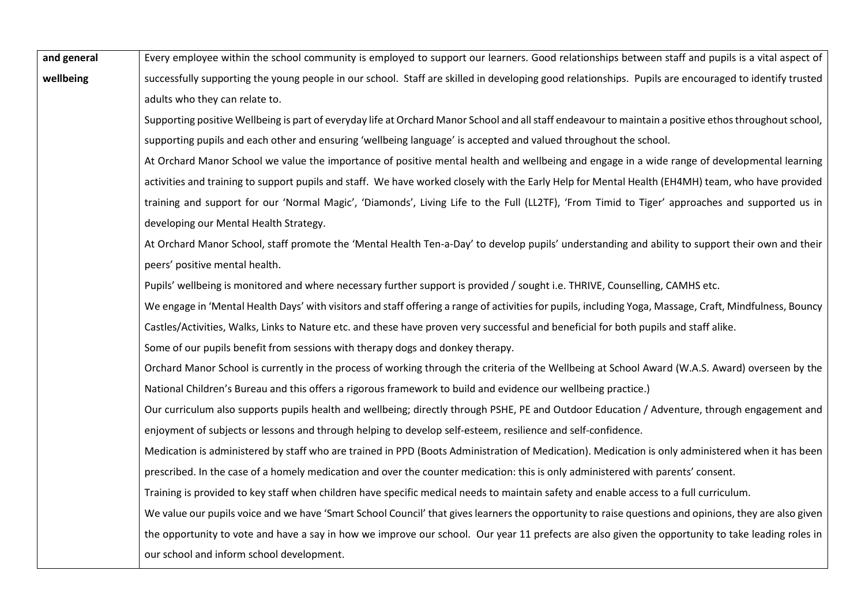| and general | Every employee within the school community is employed to support our learners. Good relationships between staff and pupils is a vital aspect of         |
|-------------|----------------------------------------------------------------------------------------------------------------------------------------------------------|
| wellbeing   | successfully supporting the young people in our school. Staff are skilled in developing good relationships. Pupils are encouraged to identify trusted    |
|             | adults who they can relate to.                                                                                                                           |
|             | Supporting positive Wellbeing is part of everyday life at Orchard Manor School and all staff endeavour to maintain a positive ethos throughout school,   |
|             | supporting pupils and each other and ensuring 'wellbeing language' is accepted and valued throughout the school.                                         |
|             | At Orchard Manor School we value the importance of positive mental health and wellbeing and engage in a wide range of developmental learning             |
|             | activities and training to support pupils and staff. We have worked closely with the Early Help for Mental Health (EH4MH) team, who have provided        |
|             | training and support for our 'Normal Magic', 'Diamonds', Living Life to the Full (LL2TF), 'From Timid to Tiger' approaches and supported us in           |
|             | developing our Mental Health Strategy.                                                                                                                   |
|             | At Orchard Manor School, staff promote the 'Mental Health Ten-a-Day' to develop pupils' understanding and ability to support their own and their         |
|             | peers' positive mental health.                                                                                                                           |
|             | Pupils' wellbeing is monitored and where necessary further support is provided / sought i.e. THRIVE, Counselling, CAMHS etc.                             |
|             | We engage in 'Mental Health Days' with visitors and staff offering a range of activities for pupils, including Yoga, Massage, Craft, Mindfulness, Bouncy |
|             | Castles/Activities, Walks, Links to Nature etc. and these have proven very successful and beneficial for both pupils and staff alike.                    |
|             | Some of our pupils benefit from sessions with therapy dogs and donkey therapy.                                                                           |
|             | Orchard Manor School is currently in the process of working through the criteria of the Wellbeing at School Award (W.A.S. Award) overseen by the         |
|             | National Children's Bureau and this offers a rigorous framework to build and evidence our wellbeing practice.)                                           |
|             | Our curriculum also supports pupils health and wellbeing; directly through PSHE, PE and Outdoor Education / Adventure, through engagement and            |
|             | enjoyment of subjects or lessons and through helping to develop self-esteem, resilience and self-confidence.                                             |
|             | Medication is administered by staff who are trained in PPD (Boots Administration of Medication). Medication is only administered when it has been        |
|             | prescribed. In the case of a homely medication and over the counter medication: this is only administered with parents' consent.                         |
|             | Training is provided to key staff when children have specific medical needs to maintain safety and enable access to a full curriculum.                   |
|             | We value our pupils voice and we have 'Smart School Council' that gives learners the opportunity to raise questions and opinions, they are also given    |
|             | the opportunity to vote and have a say in how we improve our school. Our year 11 prefects are also given the opportunity to take leading roles in        |
|             | our school and inform school development.                                                                                                                |
|             |                                                                                                                                                          |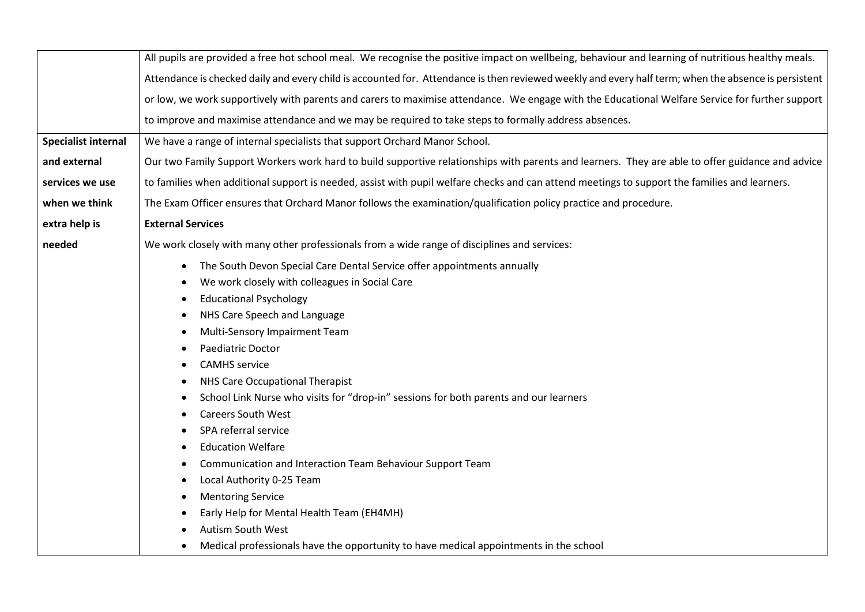|                            | All pupils are provided a free hot school meal. We recognise the positive impact on wellbeing, behaviour and learning of nutritious healthy meals.                                                                                                                                                                                                                                                                                                                                                                                                                                                                                                                                                                                                                                                                         |
|----------------------------|----------------------------------------------------------------------------------------------------------------------------------------------------------------------------------------------------------------------------------------------------------------------------------------------------------------------------------------------------------------------------------------------------------------------------------------------------------------------------------------------------------------------------------------------------------------------------------------------------------------------------------------------------------------------------------------------------------------------------------------------------------------------------------------------------------------------------|
|                            | Attendance is checked daily and every child is accounted for. Attendance is then reviewed weekly and every half term; when the absence is persistent                                                                                                                                                                                                                                                                                                                                                                                                                                                                                                                                                                                                                                                                       |
|                            | or low, we work supportively with parents and carers to maximise attendance. We engage with the Educational Welfare Service for further support                                                                                                                                                                                                                                                                                                                                                                                                                                                                                                                                                                                                                                                                            |
|                            | to improve and maximise attendance and we may be required to take steps to formally address absences.                                                                                                                                                                                                                                                                                                                                                                                                                                                                                                                                                                                                                                                                                                                      |
| <b>Specialist internal</b> | We have a range of internal specialists that support Orchard Manor School.                                                                                                                                                                                                                                                                                                                                                                                                                                                                                                                                                                                                                                                                                                                                                 |
| and external               | Our two Family Support Workers work hard to build supportive relationships with parents and learners. They are able to offer guidance and advice                                                                                                                                                                                                                                                                                                                                                                                                                                                                                                                                                                                                                                                                           |
| services we use            | to families when additional support is needed, assist with pupil welfare checks and can attend meetings to support the families and learners.                                                                                                                                                                                                                                                                                                                                                                                                                                                                                                                                                                                                                                                                              |
| when we think              | The Exam Officer ensures that Orchard Manor follows the examination/qualification policy practice and procedure.                                                                                                                                                                                                                                                                                                                                                                                                                                                                                                                                                                                                                                                                                                           |
| extra help is              | <b>External Services</b>                                                                                                                                                                                                                                                                                                                                                                                                                                                                                                                                                                                                                                                                                                                                                                                                   |
| needed                     | We work closely with many other professionals from a wide range of disciplines and services:                                                                                                                                                                                                                                                                                                                                                                                                                                                                                                                                                                                                                                                                                                                               |
|                            | The South Devon Special Care Dental Service offer appointments annually<br>$\bullet$<br>We work closely with colleagues in Social Care<br><b>Educational Psychology</b><br>NHS Care Speech and Language<br>$\bullet$<br>Multi-Sensory Impairment Team<br>$\bullet$<br>Paediatric Doctor<br><b>CAMHS</b> service<br>NHS Care Occupational Therapist<br>School Link Nurse who visits for "drop-in" sessions for both parents and our learners<br><b>Careers South West</b><br>SPA referral service<br><b>Education Welfare</b><br>Communication and Interaction Team Behaviour Support Team<br>Local Authority 0-25 Team<br>$\bullet$<br><b>Mentoring Service</b><br>Early Help for Mental Health Team (EH4MH)<br>Autism South West<br>Medical professionals have the opportunity to have medical appointments in the school |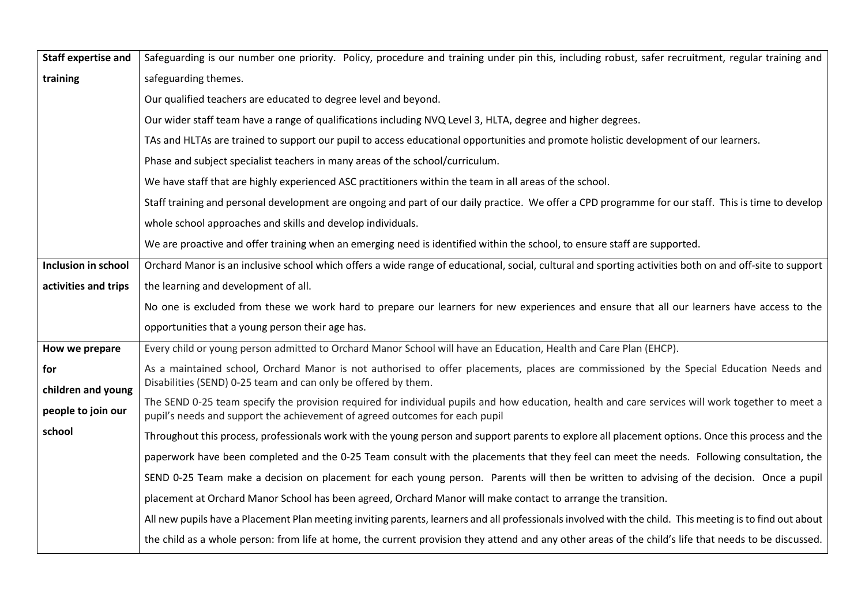| <b>Staff expertise and</b> | Safeguarding is our number one priority. Policy, procedure and training under pin this, including robust, safer recruitment, regular training and                                                                               |
|----------------------------|---------------------------------------------------------------------------------------------------------------------------------------------------------------------------------------------------------------------------------|
| training                   | safeguarding themes.                                                                                                                                                                                                            |
|                            | Our qualified teachers are educated to degree level and beyond.                                                                                                                                                                 |
|                            | Our wider staff team have a range of qualifications including NVQ Level 3, HLTA, degree and higher degrees.                                                                                                                     |
|                            | TAs and HLTAs are trained to support our pupil to access educational opportunities and promote holistic development of our learners.                                                                                            |
|                            | Phase and subject specialist teachers in many areas of the school/curriculum.                                                                                                                                                   |
|                            | We have staff that are highly experienced ASC practitioners within the team in all areas of the school.                                                                                                                         |
|                            | Staff training and personal development are ongoing and part of our daily practice. We offer a CPD programme for our staff. This is time to develop                                                                             |
|                            | whole school approaches and skills and develop individuals.                                                                                                                                                                     |
|                            | We are proactive and offer training when an emerging need is identified within the school, to ensure staff are supported.                                                                                                       |
| <b>Inclusion in school</b> | Orchard Manor is an inclusive school which offers a wide range of educational, social, cultural and sporting activities both on and off-site to support                                                                         |
| activities and trips       | the learning and development of all.                                                                                                                                                                                            |
|                            | No one is excluded from these we work hard to prepare our learners for new experiences and ensure that all our learners have access to the                                                                                      |
|                            | opportunities that a young person their age has.                                                                                                                                                                                |
| How we prepare             | Every child or young person admitted to Orchard Manor School will have an Education, Health and Care Plan (EHCP).                                                                                                               |
| for                        | As a maintained school, Orchard Manor is not authorised to offer placements, places are commissioned by the Special Education Needs and                                                                                         |
| children and young         | Disabilities (SEND) 0-25 team and can only be offered by them.                                                                                                                                                                  |
| people to join our         | The SEND 0-25 team specify the provision required for individual pupils and how education, health and care services will work together to meet a<br>pupil's needs and support the achievement of agreed outcomes for each pupil |
| school                     | Throughout this process, professionals work with the young person and support parents to explore all placement options. Once this process and the                                                                               |
|                            | paperwork have been completed and the 0-25 Team consult with the placements that they feel can meet the needs. Following consultation, the                                                                                      |
|                            | SEND 0-25 Team make a decision on placement for each young person. Parents will then be written to advising of the decision. Once a pupil                                                                                       |
|                            | placement at Orchard Manor School has been agreed, Orchard Manor will make contact to arrange the transition.                                                                                                                   |
|                            | All new pupils have a Placement Plan meeting inviting parents, learners and all professionals involved with the child. This meeting is to find out about                                                                        |
|                            | the child as a whole person: from life at home, the current provision they attend and any other areas of the child's life that needs to be discussed.                                                                           |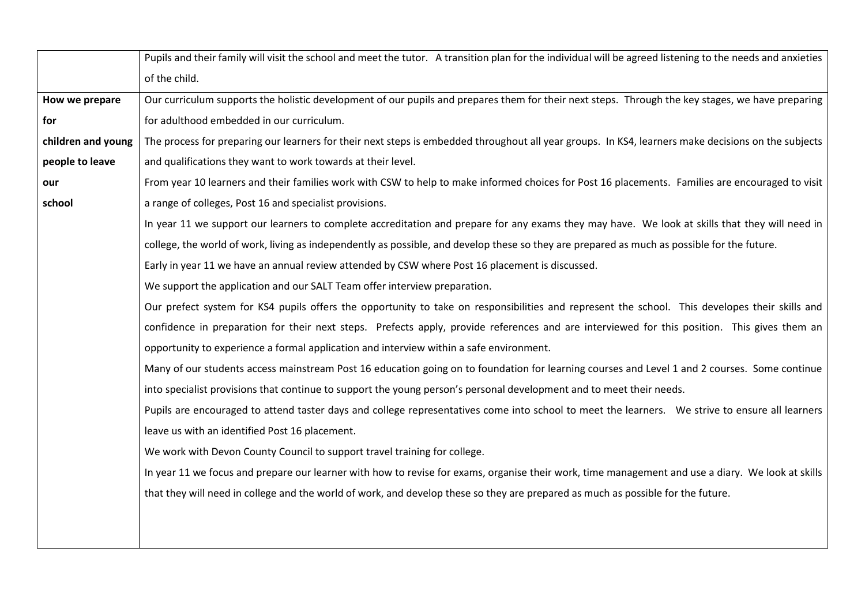|                    | Pupils and their family will visit the school and meet the tutor. A transition plan for the individual will be agreed listening to the needs and anxieties |
|--------------------|------------------------------------------------------------------------------------------------------------------------------------------------------------|
|                    | of the child.                                                                                                                                              |
| How we prepare     | Our curriculum supports the holistic development of our pupils and prepares them for their next steps. Through the key stages, we have preparing           |
| for                | for adulthood embedded in our curriculum.                                                                                                                  |
| children and young | The process for preparing our learners for their next steps is embedded throughout all year groups. In KS4, learners make decisions on the subjects        |
| people to leave    | and qualifications they want to work towards at their level.                                                                                               |
| our                | From year 10 learners and their families work with CSW to help to make informed choices for Post 16 placements. Families are encouraged to visit           |
| school             | a range of colleges, Post 16 and specialist provisions.                                                                                                    |
|                    | In year 11 we support our learners to complete accreditation and prepare for any exams they may have. We look at skills that they will need in             |
|                    | college, the world of work, living as independently as possible, and develop these so they are prepared as much as possible for the future.                |
|                    | Early in year 11 we have an annual review attended by CSW where Post 16 placement is discussed.                                                            |
|                    | We support the application and our SALT Team offer interview preparation.                                                                                  |
|                    | Our prefect system for KS4 pupils offers the opportunity to take on responsibilities and represent the school. This developes their skills and             |
|                    | confidence in preparation for their next steps. Prefects apply, provide references and are interviewed for this position. This gives them an               |
|                    | opportunity to experience a formal application and interview within a safe environment.                                                                    |
|                    | Many of our students access mainstream Post 16 education going on to foundation for learning courses and Level 1 and 2 courses. Some continue              |
|                    | into specialist provisions that continue to support the young person's personal development and to meet their needs.                                       |
|                    | Pupils are encouraged to attend taster days and college representatives come into school to meet the learners. We strive to ensure all learners            |
|                    | leave us with an identified Post 16 placement.                                                                                                             |
|                    | We work with Devon County Council to support travel training for college.                                                                                  |
|                    | In year 11 we focus and prepare our learner with how to revise for exams, organise their work, time management and use a diary. We look at skills          |
|                    | that they will need in college and the world of work, and develop these so they are prepared as much as possible for the future.                           |
|                    |                                                                                                                                                            |
|                    |                                                                                                                                                            |